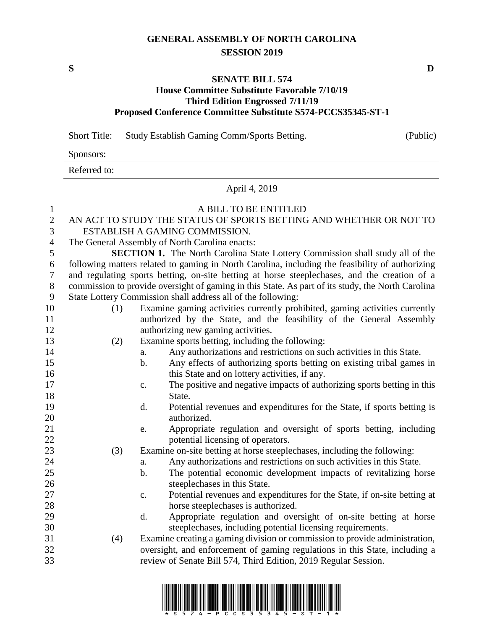## **GENERAL ASSEMBLY OF NORTH CAROLINA SESSION 2019**

## **SENATE BILL 574**

## **House Committee Substitute Favorable 7/10/19 Third Edition Engrossed 7/11/19 Proposed Conference Committee Substitute S574-PCCS35345-ST-1**

Short Title: Study Establish Gaming Comm/Sports Betting. (Public)

Sponsors:

Referred to:

## April 4, 2019

| $\mathbf{1}$   | A BILL TO BE ENTITLED                                                                             |                                                                                         |  |  |  |
|----------------|---------------------------------------------------------------------------------------------------|-----------------------------------------------------------------------------------------|--|--|--|
| $\mathbf{2}$   | AN ACT TO STUDY THE STATUS OF SPORTS BETTING AND WHETHER OR NOT TO                                |                                                                                         |  |  |  |
| 3              | ESTABLISH A GAMING COMMISSION.                                                                    |                                                                                         |  |  |  |
| $\overline{4}$ | The General Assembly of North Carolina enacts:                                                    |                                                                                         |  |  |  |
| 5              | <b>SECTION 1.</b> The North Carolina State Lottery Commission shall study all of the              |                                                                                         |  |  |  |
| 6              | following matters related to gaming in North Carolina, including the feasibility of authorizing   |                                                                                         |  |  |  |
| $\overline{7}$ | and regulating sports betting, on-site betting at horse steeplechases, and the creation of a      |                                                                                         |  |  |  |
| $\, 8$         | commission to provide oversight of gaming in this State. As part of its study, the North Carolina |                                                                                         |  |  |  |
| 9              | State Lottery Commission shall address all of the following:                                      |                                                                                         |  |  |  |
| 10             | (1)                                                                                               | Examine gaming activities currently prohibited, gaming activities currently             |  |  |  |
| 11             |                                                                                                   | authorized by the State, and the feasibility of the General Assembly                    |  |  |  |
| 12             |                                                                                                   | authorizing new gaming activities.                                                      |  |  |  |
| 13             | (2)                                                                                               | Examine sports betting, including the following:                                        |  |  |  |
| 14             |                                                                                                   | Any authorizations and restrictions on such activities in this State.<br>a.             |  |  |  |
| 15             |                                                                                                   | $\mathbf{b}$ .<br>Any effects of authorizing sports betting on existing tribal games in |  |  |  |
| 16             |                                                                                                   | this State and on lottery activities, if any.                                           |  |  |  |
| 17             |                                                                                                   | The positive and negative impacts of authorizing sports betting in this<br>c.           |  |  |  |
| 18             |                                                                                                   | State.                                                                                  |  |  |  |
| 19             |                                                                                                   | Potential revenues and expenditures for the State, if sports betting is<br>d.           |  |  |  |
| 20             |                                                                                                   | authorized.                                                                             |  |  |  |
| 21             |                                                                                                   | Appropriate regulation and oversight of sports betting, including<br>e.                 |  |  |  |
| 22             |                                                                                                   | potential licensing of operators.                                                       |  |  |  |
| 23             | (3)                                                                                               | Examine on-site betting at horse steeplechases, including the following:                |  |  |  |
| 24             |                                                                                                   | Any authorizations and restrictions on such activities in this State.<br>a.             |  |  |  |
| 25             |                                                                                                   | The potential economic development impacts of revitalizing horse<br>b.                  |  |  |  |
| 26             |                                                                                                   | steeplechases in this State.                                                            |  |  |  |
| 27             |                                                                                                   | Potential revenues and expenditures for the State, if on-site betting at<br>c.          |  |  |  |
| 28             |                                                                                                   | horse steeplechases is authorized.                                                      |  |  |  |
| 29             |                                                                                                   | Appropriate regulation and oversight of on-site betting at horse<br>d.                  |  |  |  |
| 30             |                                                                                                   | steeplechases, including potential licensing requirements.                              |  |  |  |
| 31             | (4)                                                                                               | Examine creating a gaming division or commission to provide administration,             |  |  |  |
| 32             |                                                                                                   | oversight, and enforcement of gaming regulations in this State, including a             |  |  |  |
| 33             |                                                                                                   | review of Senate Bill 574, Third Edition, 2019 Regular Session.                         |  |  |  |